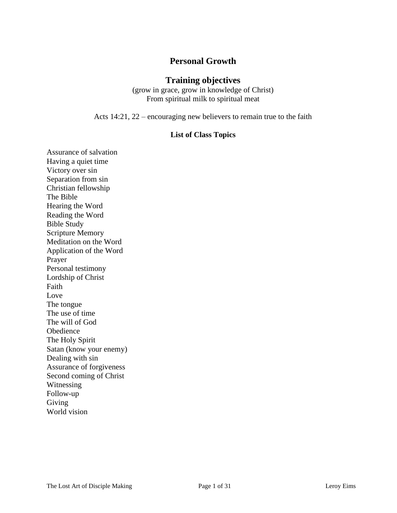# **Personal Growth**

### **Training objectives**

(grow in grace, grow in knowledge of Christ) From spiritual milk to spiritual meat

Acts 14:21, 22 – encouraging new believers to remain true to the faith

#### **List of Class Topics**

Assurance of salvation Having a quiet time Victory over sin Separation from sin Christian fellowship The Bible Hearing the Word Reading the Word Bible Study Scripture Memory Meditation on the Word Application of the Word Prayer Personal testimony Lordship of Christ Faith Love The tongue The use of time The will of God Obedience The Holy Spirit Satan (know your enemy) Dealing with sin Assurance of forgiveness Second coming of Christ Witnessing Follow-up Giving World vision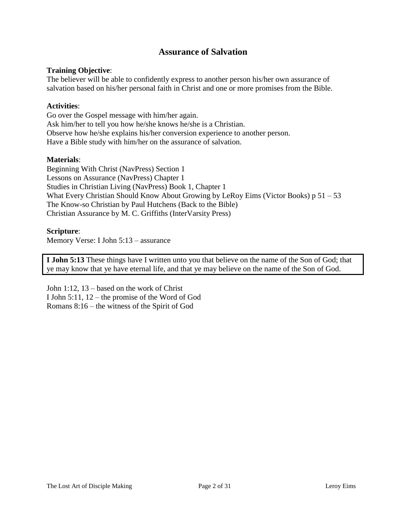# **Assurance of Salvation**

### **Training Objective**:

The believer will be able to confidently express to another person his/her own assurance of salvation based on his/her personal faith in Christ and one or more promises from the Bible.

### **Activities**:

Go over the Gospel message with him/her again. Ask him/her to tell you how he/she knows he/she is a Christian. Observe how he/she explains his/her conversion experience to another person. Have a Bible study with him/her on the assurance of salvation.

#### **Materials**:

Beginning With Christ (NavPress) Section 1 Lessons on Assurance (NavPress) Chapter 1 Studies in Christian Living (NavPress) Book 1, Chapter 1 What Every Christian Should Know About Growing by LeRoy Eims (Victor Books) p 51 – 53 The Know-so Christian by Paul Hutchens (Back to the Bible) Christian Assurance by M. C. Griffiths (InterVarsity Press)

#### **Scripture**:

Memory Verse: I John 5:13 – assurance

**I John 5:13** These things have I written unto you that believe on the name of the Son of God; that ye may know that ye have eternal life, and that ye may believe on the name of the Son of God.

John 1:12, 13 – based on the work of Christ I John 5:11, 12 – the promise of the Word of God Romans 8:16 – the witness of the Spirit of God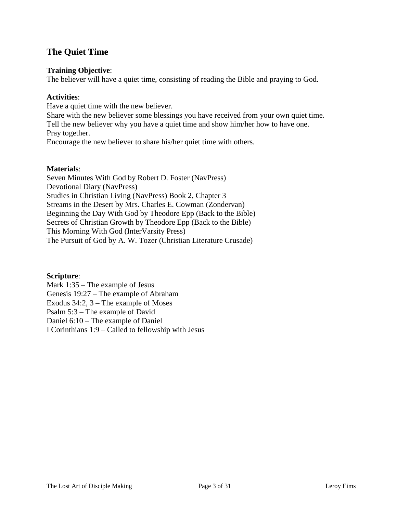# **The Quiet Time**

### **Training Objective**:

The believer will have a quiet time, consisting of reading the Bible and praying to God.

### **Activities**:

Have a quiet time with the new believer.

Share with the new believer some blessings you have received from your own quiet time. Tell the new believer why you have a quiet time and show him/her how to have one. Pray together. Encourage the new believer to share his/her quiet time with others.

### **Materials**:

Seven Minutes With God by Robert D. Foster (NavPress) Devotional Diary (NavPress) Studies in Christian Living (NavPress) Book 2, Chapter 3 Streams in the Desert by Mrs. Charles E. Cowman (Zondervan) Beginning the Day With God by Theodore Epp (Back to the Bible) Secrets of Christian Growth by Theodore Epp (Back to the Bible) This Morning With God (InterVarsity Press) The Pursuit of God by A. W. Tozer (Christian Literature Crusade)

# **Scripture**:

Mark 1:35 – The example of Jesus Genesis 19:27 – The example of Abraham Exodus 34:2, 3 – The example of Moses Psalm 5:3 – The example of David Daniel 6:10 – The example of Daniel I Corinthians 1:9 – Called to fellowship with Jesus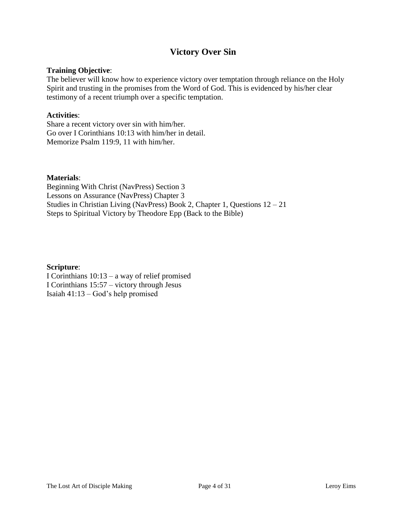# **Victory Over Sin**

#### **Training Objective**:

The believer will know how to experience victory over temptation through reliance on the Holy Spirit and trusting in the promises from the Word of God. This is evidenced by his/her clear testimony of a recent triumph over a specific temptation.

#### **Activities**:

Share a recent victory over sin with him/her. Go over I Corinthians 10:13 with him/her in detail. Memorize Psalm 119:9, 11 with him/her.

#### **Materials**:

Beginning With Christ (NavPress) Section 3 Lessons on Assurance (NavPress) Chapter 3 Studies in Christian Living (NavPress) Book 2, Chapter 1, Questions 12 – 21 Steps to Spiritual Victory by Theodore Epp (Back to the Bible)

### **Scripture**:

I Corinthians 10:13 – a way of relief promised I Corinthians 15:57 – victory through Jesus Isaiah 41:13 – God's help promised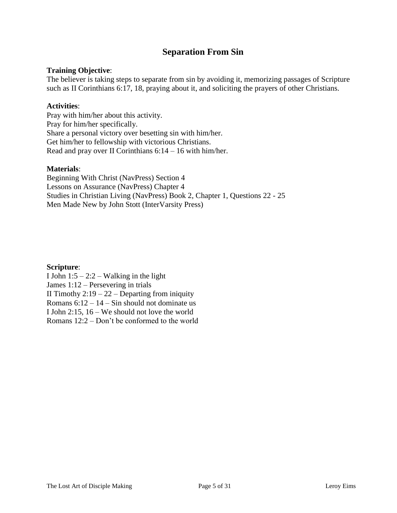# **Separation From Sin**

### **Training Objective**:

The believer is taking steps to separate from sin by avoiding it, memorizing passages of Scripture such as II Corinthians 6:17, 18, praying about it, and soliciting the prayers of other Christians.

### **Activities**:

Pray with him/her about this activity. Pray for him/her specifically. Share a personal victory over besetting sin with him/her. Get him/her to fellowship with victorious Christians. Read and pray over II Corinthians  $6:14 - 16$  with him/her.

### **Materials**:

Beginning With Christ (NavPress) Section 4 Lessons on Assurance (NavPress) Chapter 4 Studies in Christian Living (NavPress) Book 2, Chapter 1, Questions 22 - 25 Men Made New by John Stott (InterVarsity Press)

### **Scripture**:

I John  $1:5 - 2:2 -$  Walking in the light James 1:12 – Persevering in trials II Timothy  $2:19 - 22 -$  Departing from iniquity Romans  $6:12 - 14 -$  Sin should not dominate us I John 2:15, 16 – We should not love the world Romans 12:2 – Don't be conformed to the world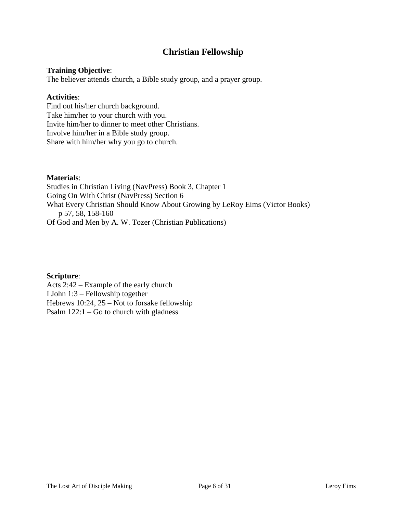# **Christian Fellowship**

## **Training Objective**:

The believer attends church, a Bible study group, and a prayer group.

### **Activities**:

Find out his/her church background. Take him/her to your church with you. Invite him/her to dinner to meet other Christians. Involve him/her in a Bible study group. Share with him/her why you go to church.

## **Materials**:

Studies in Christian Living (NavPress) Book 3, Chapter 1 Going On With Christ (NavPress) Section 6 What Every Christian Should Know About Growing by LeRoy Eims (Victor Books) p 57, 58, 158-160 Of God and Men by A. W. Tozer (Christian Publications)

# **Scripture**:

Acts 2:42 – Example of the early church I John 1:3 – Fellowship together Hebrews 10:24, 25 – Not to forsake fellowship Psalm 122:1 – Go to church with gladness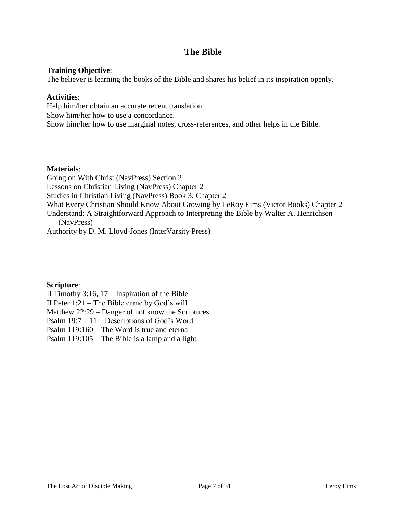# **The Bible**

### **Training Objective**:

The believer is learning the books of the Bible and shares his belief in its inspiration openly.

### **Activities**:

Help him/her obtain an accurate recent translation. Show him/her how to use a concordance. Show him/her how to use marginal notes, cross-references, and other helps in the Bible.

### **Materials**:

Going on With Christ (NavPress) Section 2 Lessons on Christian Living (NavPress) Chapter 2 Studies in Christian Living (NavPress) Book 3, Chapter 2 What Every Christian Should Know About Growing by LeRoy Eims (Victor Books) Chapter 2 Understand: A Straightforward Approach to Interpreting the Bible by Walter A. Henrichsen (NavPress)

Authority by D. M. Lloyd-Jones (InterVarsity Press)

# **Scripture**:

II Timothy 3:16, 17 – Inspiration of the Bible II Peter 1:21 – The Bible came by God's will Matthew 22:29 – Danger of not know the Scriptures Psalm 19:7 – 11 – Descriptions of God's Word Psalm 119:160 – The Word is true and eternal Psalm 119:105 – The Bible is a lamp and a light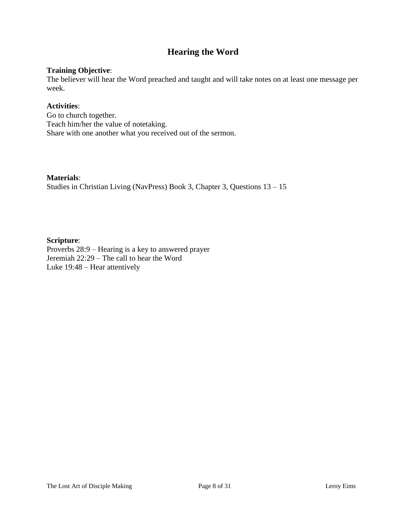# **Hearing the Word**

## **Training Objective**:

The believer will hear the Word preached and taught and will take notes on at least one message per week.

## **Activities**:

Go to church together. Teach him/her the value of notetaking. Share with one another what you received out of the sermon.

#### **Materials**:

Studies in Christian Living (NavPress) Book 3, Chapter 3, Questions 13 – 15

### **Scripture**:

Proverbs 28:9 – Hearing is a key to answered prayer Jeremiah 22:29 – The call to hear the Word Luke 19:48 – Hear attentively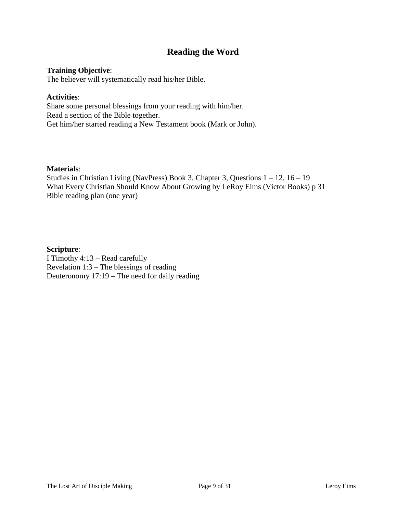# **Reading the Word**

### **Training Objective**:

The believer will systematically read his/her Bible.

#### **Activities**:

Share some personal blessings from your reading with him/her. Read a section of the Bible together. Get him/her started reading a New Testament book (Mark or John).

#### **Materials**:

Studies in Christian Living (NavPress) Book 3, Chapter 3, Questions 1 – 12, 16 – 19 What Every Christian Should Know About Growing by LeRoy Eims (Victor Books) p 31 Bible reading plan (one year)

#### **Scripture**:

I Timothy 4:13 – Read carefully Revelation 1:3 – The blessings of reading Deuteronomy 17:19 – The need for daily reading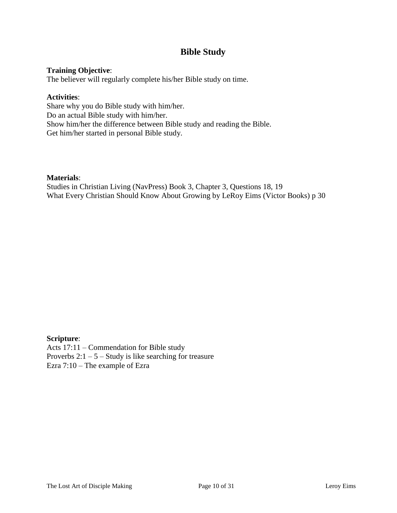# **Bible Study**

### **Training Objective**:

The believer will regularly complete his/her Bible study on time.

### **Activities**:

Share why you do Bible study with him/her. Do an actual Bible study with him/her. Show him/her the difference between Bible study and reading the Bible. Get him/her started in personal Bible study.

### **Materials**:

Studies in Christian Living (NavPress) Book 3, Chapter 3, Questions 18, 19 What Every Christian Should Know About Growing by LeRoy Eims (Victor Books) p 30

### **Scripture**:

Acts 17:11 – Commendation for Bible study Proverbs  $2:1 - 5 -$  Study is like searching for treasure Ezra 7:10 – The example of Ezra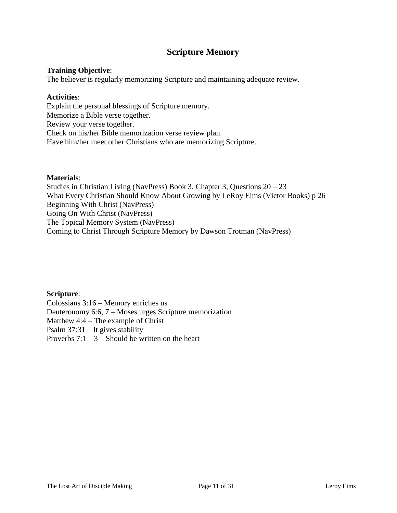# **Scripture Memory**

### **Training Objective**:

The believer is regularly memorizing Scripture and maintaining adequate review.

#### **Activities**:

Explain the personal blessings of Scripture memory. Memorize a Bible verse together. Review your verse together. Check on his/her Bible memorization verse review plan. Have him/her meet other Christians who are memorizing Scripture.

#### **Materials**:

Studies in Christian Living (NavPress) Book 3, Chapter 3, Questions 20 – 23 What Every Christian Should Know About Growing by LeRoy Eims (Victor Books) p 26 Beginning With Christ (NavPress) Going On With Christ (NavPress) The Topical Memory System (NavPress) Coming to Christ Through Scripture Memory by Dawson Trotman (NavPress)

**Scripture**: Colossians 3:16 – Memory enriches us Deuteronomy 6:6, 7 – Moses urges Scripture memorization Matthew 4:4 – The example of Christ Psalm 37:31 – It gives stability Proverbs  $7:1 - 3$  – Should be written on the heart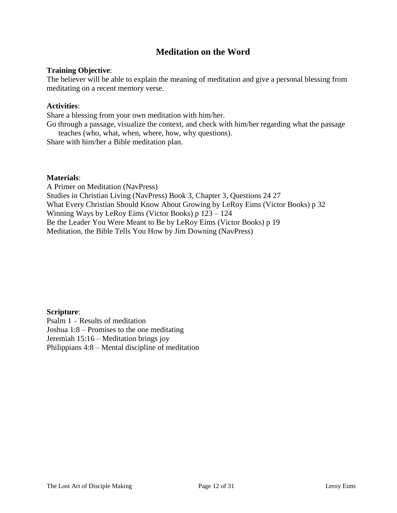# **Meditation on the Word**

#### **Training Objective**:

The believer will be able to explain the meaning of meditation and give a personal blessing from meditating on a recent memory verse.

#### **Activities**:

Share a blessing from your own meditation with him/her.

Go through a passage, visualize the context, and check with him/her regarding what the passage teaches (who, what, when, where, how, why questions).

Share with him/her a Bible meditation plan.

#### **Materials**:

A Primer on Meditation (NavPress) Studies in Christian Living (NavPress) Book 3, Chapter 3, Questions 24 27 What Every Christian Should Know About Growing by LeRoy Eims (Victor Books) p 32 Winning Ways by LeRoy Eims (Victor Books) p 123 – 124 Be the Leader You Were Meant to Be by LeRoy Eims (Victor Books) p 19 Meditation, the Bible Tells You How by Jim Downing (NavPress)

#### **Scripture**:

Psalm 1 – Results of meditation Joshua 1:8 – Promises to the one meditating Jeremiah 15:16 – Meditation brings joy Philippians 4:8 – Mental discipline of meditation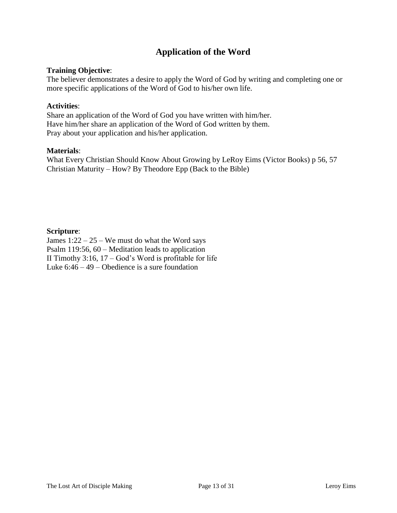# **Application of the Word**

### **Training Objective**:

The believer demonstrates a desire to apply the Word of God by writing and completing one or more specific applications of the Word of God to his/her own life.

#### **Activities**:

Share an application of the Word of God you have written with him/her. Have him/her share an application of the Word of God written by them. Pray about your application and his/her application.

#### **Materials**:

What Every Christian Should Know About Growing by LeRoy Eims (Victor Books) p 56, 57 Christian Maturity – How? By Theodore Epp (Back to the Bible)

#### **Scripture**:

James  $1:22 - 25$  – We must do what the Word says Psalm 119:56, 60 – Meditation leads to application II Timothy 3:16,  $17 - God's Word$  is profitable for life Luke  $6:46 - 49$  – Obedience is a sure foundation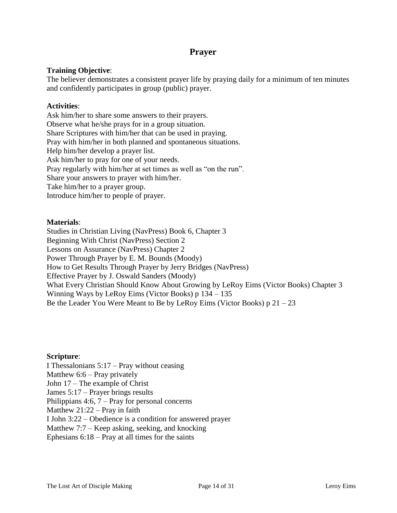# **Prayer**

# **Training Objective**:

The believer demonstrates a consistent prayer life by praying daily for a minimum of ten minutes and confidently participates in group (public) prayer.

### **Activities**:

Ask him/her to share some answers to their prayers. Observe what he/she prays for in a group situation. Share Scriptures with him/her that can be used in praying. Pray with him/her in both planned and spontaneous situations. Help him/her develop a prayer list. Ask him/her to pray for one of your needs. Pray regularly with him/her at set times as well as "on the run". Share your answers to prayer with him/her. Take him/her to a prayer group. Introduce him/her to people of prayer.

### **Materials**:

Studies in Christian Living (NavPress) Book 6, Chapter 3 Beginning With Christ (NavPress) Section 2 Lessons on Assurance (NavPress) Chapter 2 Power Through Prayer by E. M. Bounds (Moody) How to Get Results Through Prayer by Jerry Bridges (NavPress) Effective Prayer by J. Oswald Sanders (Moody) What Every Christian Should Know About Growing by LeRoy Eims (Victor Books) Chapter 3 Winning Ways by LeRoy Eims (Victor Books) p 134 – 135 Be the Leader You Were Meant to Be by LeRoy Eims (Victor Books)  $p\ 21 - 23$ 

### **Scripture**:

I Thessalonians 5:17 – Pray without ceasing Matthew  $6:6$  – Pray privately John 17 – The example of Christ James 5:17 – Prayer brings results Philippians 4:6, 7 – Pray for personal concerns Matthew 21:22 – Pray in faith I John 3:22 – Obedience is a condition for answered prayer Matthew 7:7 – Keep asking, seeking, and knocking Ephesians  $6:18$  – Pray at all times for the saints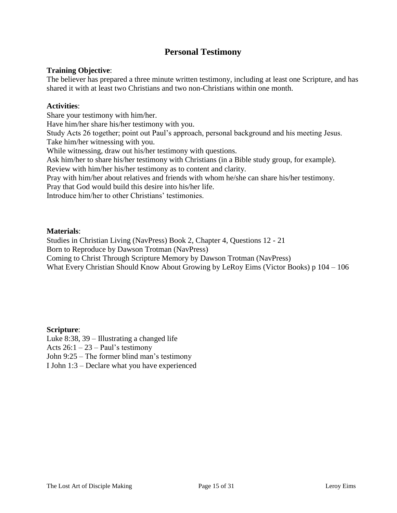# **Personal Testimony**

### **Training Objective**:

The believer has prepared a three minute written testimony, including at least one Scripture, and has shared it with at least two Christians and two non-Christians within one month.

#### **Activities**:

Share your testimony with him/her.

Have him/her share his/her testimony with you.

Study Acts 26 together; point out Paul's approach, personal background and his meeting Jesus. Take him/her witnessing with you.

While witnessing, draw out his/her testimony with questions.

Ask him/her to share his/her testimony with Christians (in a Bible study group, for example).

Review with him/her his/her testimony as to content and clarity.

Pray with him/her about relatives and friends with whom he/she can share his/her testimony.

Pray that God would build this desire into his/her life.

Introduce him/her to other Christians' testimonies.

#### **Materials**:

Studies in Christian Living (NavPress) Book 2, Chapter 4, Questions 12 - 21

Born to Reproduce by Dawson Trotman (NavPress)

Coming to Christ Through Scripture Memory by Dawson Trotman (NavPress)

What Every Christian Should Know About Growing by LeRoy Eims (Victor Books) p 104 – 106

### **Scripture**:

Luke 8:38, 39 – Illustrating a changed life

Acts  $26:1 - 23 - Paul's testimony$ 

John 9:25 – The former blind man's testimony

I John 1:3 – Declare what you have experienced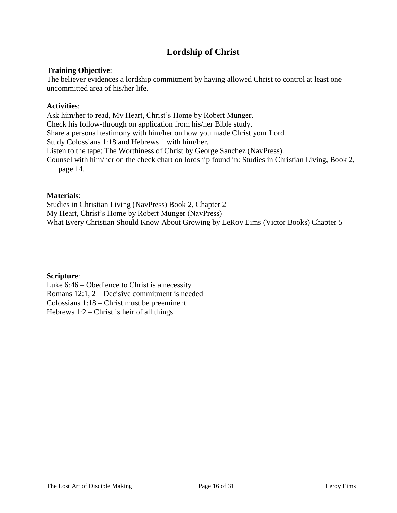# **Lordship of Christ**

### **Training Objective**:

The believer evidences a lordship commitment by having allowed Christ to control at least one uncommitted area of his/her life.

### **Activities**:

Ask him/her to read, My Heart, Christ's Home by Robert Munger. Check his follow-through on application from his/her Bible study. Share a personal testimony with him/her on how you made Christ your Lord. Study Colossians 1:18 and Hebrews 1 with him/her. Listen to the tape: The Worthiness of Christ by George Sanchez (NavPress). Counsel with him/her on the check chart on lordship found in: Studies in Christian Living, Book 2, page 14.

#### **Materials**:

Studies in Christian Living (NavPress) Book 2, Chapter 2 My Heart, Christ's Home by Robert Munger (NavPress) What Every Christian Should Know About Growing by LeRoy Eims (Victor Books) Chapter 5

### **Scripture**:

Luke 6:46 – Obedience to Christ is a necessity Romans 12:1, 2 – Decisive commitment is needed Colossians 1:18 – Christ must be preeminent Hebrews  $1:2$  – Christ is heir of all things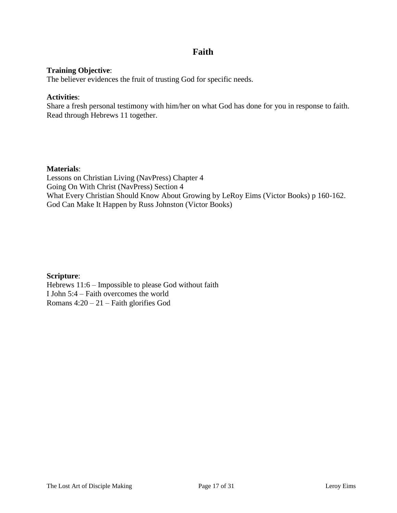# **Faith**

### **Training Objective**:

The believer evidences the fruit of trusting God for specific needs.

### **Activities**:

Share a fresh personal testimony with him/her on what God has done for you in response to faith. Read through Hebrews 11 together.

### **Materials**:

Lessons on Christian Living (NavPress) Chapter 4 Going On With Christ (NavPress) Section 4 What Every Christian Should Know About Growing by LeRoy Eims (Victor Books) p 160-162. God Can Make It Happen by Russ Johnston (Victor Books)

### **Scripture**:

Hebrews 11:6 – Impossible to please God without faith I John 5:4 – Faith overcomes the world Romans 4:20 – 21 – Faith glorifies God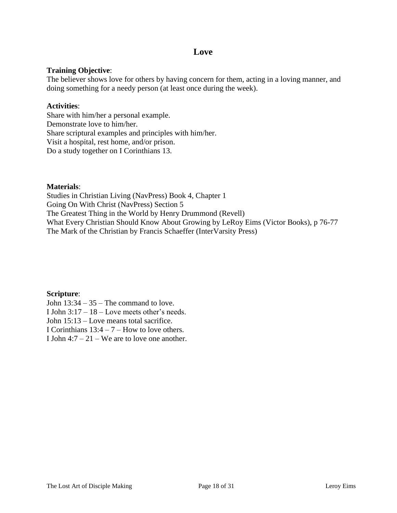# **Love**

## **Training Objective**:

The believer shows love for others by having concern for them, acting in a loving manner, and doing something for a needy person (at least once during the week).

### **Activities**:

Share with him/her a personal example. Demonstrate love to him/her. Share scriptural examples and principles with him/her. Visit a hospital, rest home, and/or prison. Do a study together on I Corinthians 13.

### **Materials**:

Studies in Christian Living (NavPress) Book 4, Chapter 1 Going On With Christ (NavPress) Section 5 The Greatest Thing in the World by Henry Drummond (Revell) What Every Christian Should Know About Growing by LeRoy Eims (Victor Books), p 76-77 The Mark of the Christian by Francis Schaeffer (InterVarsity Press)

**Scripture**: John  $13:34 - 35$  – The command to love. I John 3:17 – 18 – Love meets other's needs. John 15:13 – Love means total sacrifice. I Corinthians  $13:4 - 7$  – How to love others. I John  $4:7 - 21$  – We are to love one another.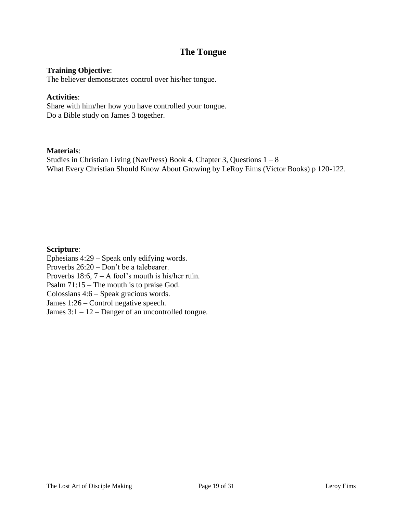# **The Tongue**

### **Training Objective**:

The believer demonstrates control over his/her tongue.

#### **Activities**:

Share with him/her how you have controlled your tongue. Do a Bible study on James 3 together.

### **Materials**:

Studies in Christian Living (NavPress) Book 4, Chapter 3, Questions  $1 - 8$ What Every Christian Should Know About Growing by LeRoy Eims (Victor Books) p 120-122.

### **Scripture**:

Ephesians 4:29 – Speak only edifying words. Proverbs 26:20 – Don't be a talebearer. Proverbs 18:6,  $7 - A$  fool's mouth is his/her ruin. Psalm 71:15 – The mouth is to praise God. Colossians 4:6 – Speak gracious words. James 1:26 – Control negative speech. James  $3:1 - 12$  – Danger of an uncontrolled tongue.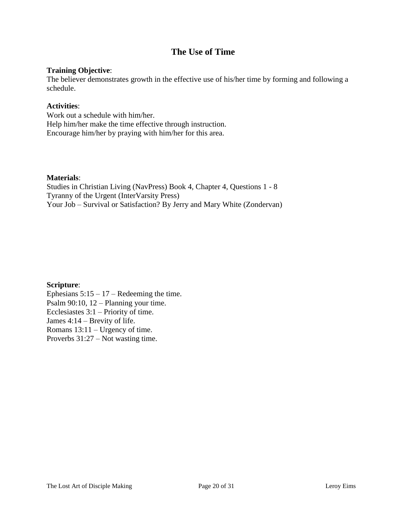# **The Use of Time**

### **Training Objective**:

The believer demonstrates growth in the effective use of his/her time by forming and following a schedule.

### **Activities**:

Work out a schedule with him/her. Help him/her make the time effective through instruction. Encourage him/her by praying with him/her for this area.

### **Materials**:

Studies in Christian Living (NavPress) Book 4, Chapter 4, Questions 1 - 8 Tyranny of the Urgent (InterVarsity Press) Your Job – Survival or Satisfaction? By Jerry and Mary White (Zondervan)

### **Scripture**:

Ephesians  $5:15 - 17$  – Redeeming the time. Psalm 90:10, 12 – Planning your time. Ecclesiastes 3:1 – Priority of time. James 4:14 – Brevity of life. Romans 13:11 – Urgency of time. Proverbs 31:27 – Not wasting time.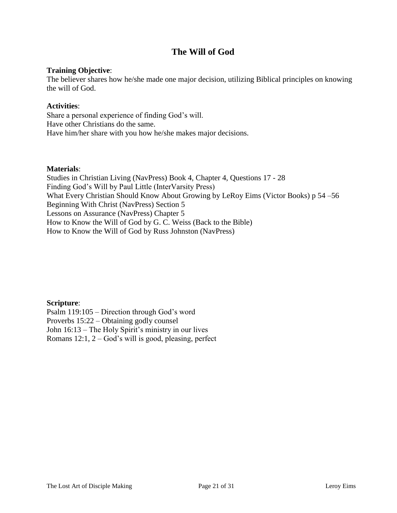# **The Will of God**

## **Training Objective**:

The believer shares how he/she made one major decision, utilizing Biblical principles on knowing the will of God.

### **Activities**:

Share a personal experience of finding God's will. Have other Christians do the same. Have him/her share with you how he/she makes major decisions.

#### **Materials**:

Studies in Christian Living (NavPress) Book 4, Chapter 4, Questions 17 - 28 Finding God's Will by Paul Little (InterVarsity Press) What Every Christian Should Know About Growing by LeRoy Eims (Victor Books) p 54 –56 Beginning With Christ (NavPress) Section 5 Lessons on Assurance (NavPress) Chapter 5 How to Know the Will of God by G. C. Weiss (Back to the Bible) How to Know the Will of God by Russ Johnston (NavPress)

**Scripture**:

Psalm 119:105 – Direction through God's word Proverbs 15:22 – Obtaining godly counsel John 16:13 – The Holy Spirit's ministry in our lives Romans  $12:1$ ,  $2 - God's$  will is good, pleasing, perfect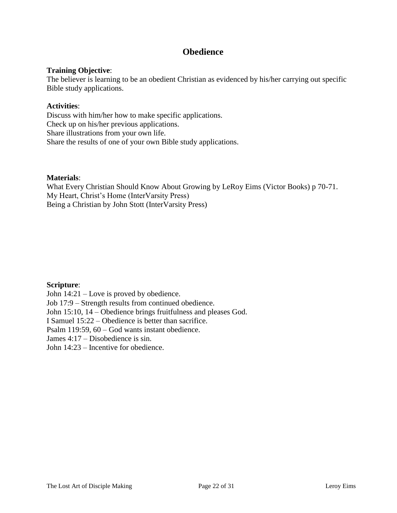# **Obedience**

## **Training Objective**:

The believer is learning to be an obedient Christian as evidenced by his/her carrying out specific Bible study applications.

### **Activities**:

Discuss with him/her how to make specific applications. Check up on his/her previous applications. Share illustrations from your own life. Share the results of one of your own Bible study applications.

### **Materials**:

What Every Christian Should Know About Growing by LeRoy Eims (Victor Books) p 70-71. My Heart, Christ's Home (InterVarsity Press) Being a Christian by John Stott (InterVarsity Press)

# **Scripture**:

John 14:21 – Love is proved by obedience. Job 17:9 – Strength results from continued obedience. John 15:10, 14 – Obedience brings fruitfulness and pleases God. I Samuel 15:22 – Obedience is better than sacrifice. Psalm 119:59, 60 – God wants instant obedience. James 4:17 – Disobedience is sin. John 14:23 – Incentive for obedience.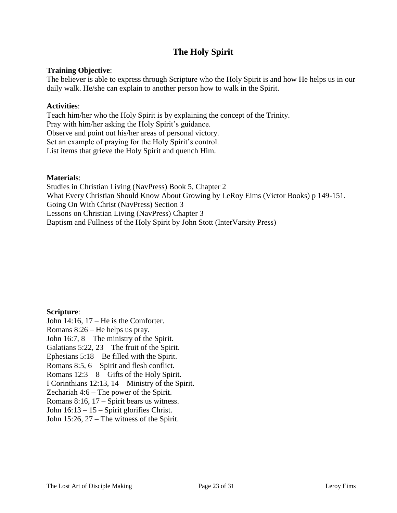# **The Holy Spirit**

### **Training Objective**:

The believer is able to express through Scripture who the Holy Spirit is and how He helps us in our daily walk. He/she can explain to another person how to walk in the Spirit.

### **Activities**:

Teach him/her who the Holy Spirit is by explaining the concept of the Trinity. Pray with him/her asking the Holy Spirit's guidance. Observe and point out his/her areas of personal victory. Set an example of praying for the Holy Spirit's control. List items that grieve the Holy Spirit and quench Him.

### **Materials**:

Studies in Christian Living (NavPress) Book 5, Chapter 2 What Every Christian Should Know About Growing by LeRoy Eims (Victor Books) p 149-151. Going On With Christ (NavPress) Section 3 Lessons on Christian Living (NavPress) Chapter 3 Baptism and Fullness of the Holy Spirit by John Stott (InterVarsity Press)

### **Scripture**:

John  $14:16$ ,  $17$  – He is the Comforter. Romans 8:26 – He helps us pray. John 16:7, 8 – The ministry of the Spirit. Galatians 5:22, 23 – The fruit of the Spirit. Ephesians 5:18 – Be filled with the Spirit. Romans 8:5, 6 – Spirit and flesh conflict. Romans  $12:3 - 8$  – Gifts of the Holy Spirit. I Corinthians 12:13, 14 – Ministry of the Spirit. Zechariah 4:6 – The power of the Spirit. Romans 8:16, 17 – Spirit bears us witness. John 16:13 – 15 – Spirit glorifies Christ. John 15:26, 27 – The witness of the Spirit.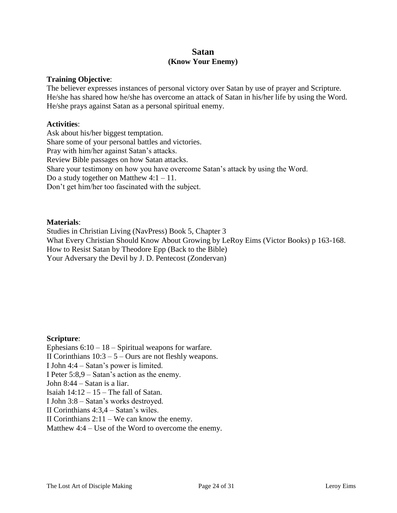# **Satan (Know Your Enemy)**

#### **Training Objective**:

The believer expresses instances of personal victory over Satan by use of prayer and Scripture. He/she has shared how he/she has overcome an attack of Satan in his/her life by using the Word. He/she prays against Satan as a personal spiritual enemy.

#### **Activities**:

Ask about his/her biggest temptation. Share some of your personal battles and victories. Pray with him/her against Satan's attacks. Review Bible passages on how Satan attacks. Share your testimony on how you have overcome Satan's attack by using the Word. Do a study together on Matthew  $4:1 - 11$ . Don't get him/her too fascinated with the subject.

#### **Materials**:

Studies in Christian Living (NavPress) Book 5, Chapter 3 What Every Christian Should Know About Growing by LeRoy Eims (Victor Books) p 163-168. How to Resist Satan by Theodore Epp (Back to the Bible) Your Adversary the Devil by J. D. Pentecost (Zondervan)

### **Scripture**:

Ephesians  $6:10 - 18$  – Spiritual weapons for warfare. II Corinthians  $10:3 - 5 -$ Ours are not fleshly weapons. I John 4:4 – Satan's power is limited. I Peter 5:8,9 – Satan's action as the enemy. John 8:44 – Satan is a liar. Isaiah  $14:12 - 15$  – The fall of Satan. I John 3:8 – Satan's works destroyed. II Corinthians 4:3,4 – Satan's wiles. II Corinthians 2:11 – We can know the enemy. Matthew 4:4 – Use of the Word to overcome the enemy.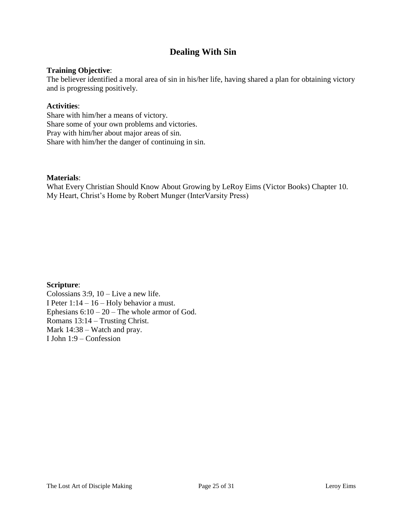# **Dealing With Sin**

### **Training Objective**:

The believer identified a moral area of sin in his/her life, having shared a plan for obtaining victory and is progressing positively.

#### **Activities**:

Share with him/her a means of victory. Share some of your own problems and victories. Pray with him/her about major areas of sin. Share with him/her the danger of continuing in sin.

#### **Materials**:

What Every Christian Should Know About Growing by LeRoy Eims (Victor Books) Chapter 10. My Heart, Christ's Home by Robert Munger (InterVarsity Press)

### **Scripture**:

Colossians  $3:9$ ,  $10$  – Live a new life. I Peter 1:14 – 16 – Holy behavior a must. Ephesians  $6:10 - 20$  – The whole armor of God. Romans 13:14 – Trusting Christ. Mark 14:38 – Watch and pray. I John 1:9 – Confession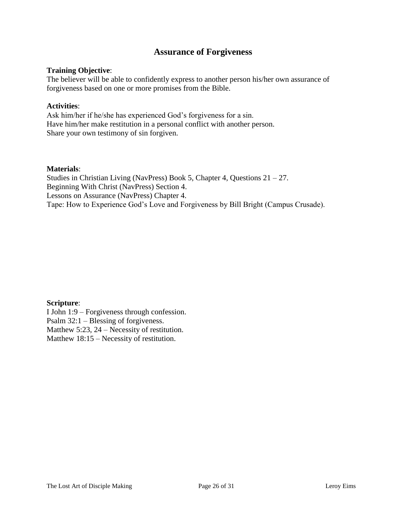# **Assurance of Forgiveness**

#### **Training Objective**:

The believer will be able to confidently express to another person his/her own assurance of forgiveness based on one or more promises from the Bible.

#### **Activities**:

Ask him/her if he/she has experienced God's forgiveness for a sin. Have him/her make restitution in a personal conflict with another person. Share your own testimony of sin forgiven.

#### **Materials**:

Studies in Christian Living (NavPress) Book 5, Chapter 4, Questions 21 – 27. Beginning With Christ (NavPress) Section 4. Lessons on Assurance (NavPress) Chapter 4. Tape: How to Experience God's Love and Forgiveness by Bill Bright (Campus Crusade).

### **Scripture**:

I John 1:9 – Forgiveness through confession. Psalm 32:1 – Blessing of forgiveness. Matthew 5:23, 24 – Necessity of restitution. Matthew 18:15 – Necessity of restitution.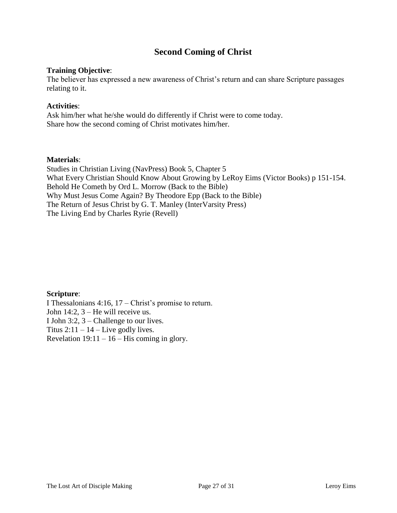# **Second Coming of Christ**

### **Training Objective**:

The believer has expressed a new awareness of Christ's return and can share Scripture passages relating to it.

## **Activities**:

Ask him/her what he/she would do differently if Christ were to come today. Share how the second coming of Christ motivates him/her.

### **Materials**:

Studies in Christian Living (NavPress) Book 5, Chapter 5 What Every Christian Should Know About Growing by LeRoy Eims (Victor Books) p 151-154. Behold He Cometh by Ord L. Morrow (Back to the Bible) Why Must Jesus Come Again? By Theodore Epp (Back to the Bible) The Return of Jesus Christ by G. T. Manley (InterVarsity Press) The Living End by Charles Ryrie (Revell)

**Scripture**: I Thessalonians 4:16, 17 – Christ's promise to return. John 14:2, 3 – He will receive us. I John 3:2, 3 – Challenge to our lives. Titus  $2:11 - 14$  – Live godly lives. Revelation  $19:11 - 16$  – His coming in glory.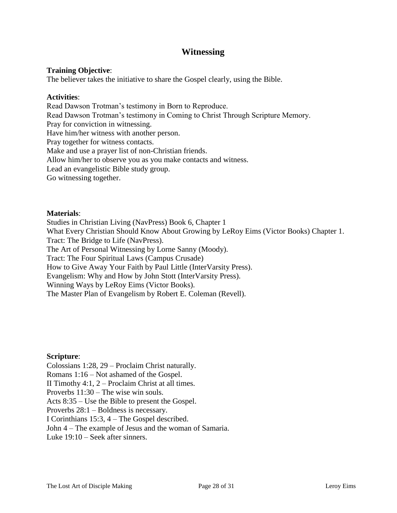# **Witnessing**

### **Training Objective**:

The believer takes the initiative to share the Gospel clearly, using the Bible.

#### **Activities**:

Read Dawson Trotman's testimony in Born to Reproduce. Read Dawson Trotman's testimony in Coming to Christ Through Scripture Memory. Pray for conviction in witnessing. Have him/her witness with another person. Pray together for witness contacts. Make and use a prayer list of non-Christian friends. Allow him/her to observe you as you make contacts and witness. Lead an evangelistic Bible study group. Go witnessing together.

#### **Materials**:

Studies in Christian Living (NavPress) Book 6, Chapter 1 What Every Christian Should Know About Growing by LeRoy Eims (Victor Books) Chapter 1. Tract: The Bridge to Life (NavPress). The Art of Personal Witnessing by Lorne Sanny (Moody). Tract: The Four Spiritual Laws (Campus Crusade) How to Give Away Your Faith by Paul Little (InterVarsity Press). Evangelism: Why and How by John Stott (InterVarsity Press). Winning Ways by LeRoy Eims (Victor Books). The Master Plan of Evangelism by Robert E. Coleman (Revell).

#### **Scripture**:

Colossians 1:28, 29 – Proclaim Christ naturally. Romans 1:16 – Not ashamed of the Gospel. II Timothy 4:1, 2 – Proclaim Christ at all times. Proverbs 11:30 – The wise win souls. Acts 8:35 – Use the Bible to present the Gospel. Proverbs 28:1 – Boldness is necessary. I Corinthians 15:3, 4 – The Gospel described. John 4 – The example of Jesus and the woman of Samaria. Luke 19:10 – Seek after sinners.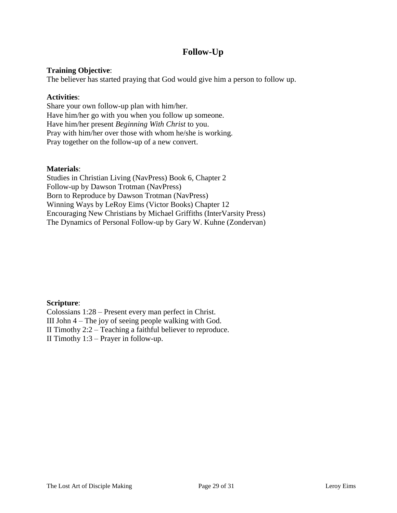# **Follow-Up**

## **Training Objective**:

The believer has started praying that God would give him a person to follow up.

### **Activities**:

Share your own follow-up plan with him/her. Have him/her go with you when you follow up someone. Have him/her present *Beginning With Christ* to you. Pray with him/her over those with whom he/she is working. Pray together on the follow-up of a new convert.

### **Materials**:

Studies in Christian Living (NavPress) Book 6, Chapter 2 Follow-up by Dawson Trotman (NavPress) Born to Reproduce by Dawson Trotman (NavPress) Winning Ways by LeRoy Eims (Victor Books) Chapter 12 Encouraging New Christians by Michael Griffiths (InterVarsity Press) The Dynamics of Personal Follow-up by Gary W. Kuhne (Zondervan)

# **Scripture**:

Colossians 1:28 – Present every man perfect in Christ. III John 4 – The joy of seeing people walking with God. II Timothy 2:2 – Teaching a faithful believer to reproduce. II Timothy 1:3 – Prayer in follow-up.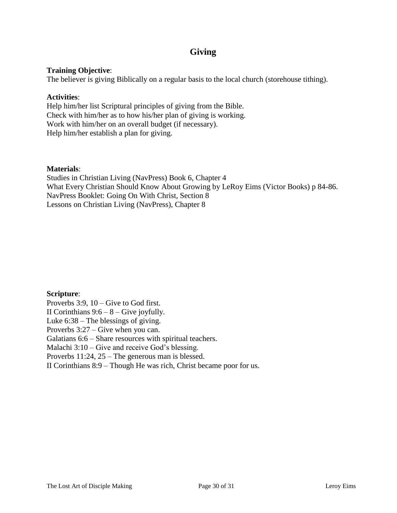# **Giving**

# **Training Objective**:

The believer is giving Biblically on a regular basis to the local church (storehouse tithing).

### **Activities**:

Help him/her list Scriptural principles of giving from the Bible. Check with him/her as to how his/her plan of giving is working. Work with him/her on an overall budget (if necessary). Help him/her establish a plan for giving.

### **Materials**:

Studies in Christian Living (NavPress) Book 6, Chapter 4 What Every Christian Should Know About Growing by LeRoy Eims (Victor Books) p 84-86. NavPress Booklet: Going On With Christ, Section 8 Lessons on Christian Living (NavPress), Chapter 8

# **Scripture**: Proverbs 3:9, 10 – Give to God first. II Corinthians  $9:6 - 8 -$  Give joyfully. Luke 6:38 – The blessings of giving. Proverbs 3:27 – Give when you can. Galatians 6:6 – Share resources with spiritual teachers. Malachi 3:10 – Give and receive God's blessing. Proverbs 11:24, 25 – The generous man is blessed. II Corinthians 8:9 – Though He was rich, Christ became poor for us.